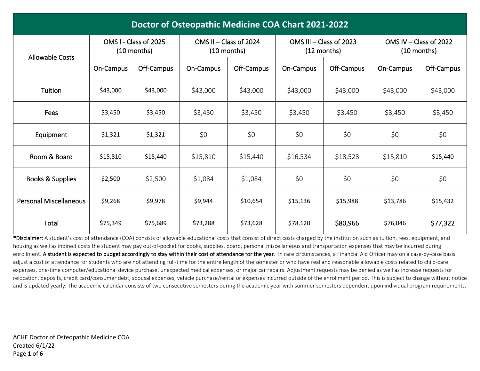| Doctor of Osteopathic Medicine COA Chart 2021-2022 |                                        |            |                                           |            |           |                                          |                                         |            |  |  |  |
|----------------------------------------------------|----------------------------------------|------------|-------------------------------------------|------------|-----------|------------------------------------------|-----------------------------------------|------------|--|--|--|
| <b>Allowable Costs</b>                             | OMS I - Class of 2025<br>$(10$ months) |            | OMS $II - Class$ of 2024<br>$(10$ months) |            |           | OMS III - Class of 2023<br>$(12$ months) | OMS IV - Class of 2022<br>$(10$ months) |            |  |  |  |
|                                                    | On-Campus                              | Off-Campus | On-Campus                                 | Off-Campus | On-Campus | Off-Campus                               | On-Campus                               | Off-Campus |  |  |  |
| Tuition                                            | \$43,000                               | \$43,000   | \$43,000                                  | \$43,000   | \$43,000  | \$43,000                                 | \$43,000                                | \$43,000   |  |  |  |
| Fees                                               | \$3,450                                | \$3,450    | \$3,450                                   | \$3,450    | \$3,450   | \$3,450                                  | \$3,450                                 | \$3,450    |  |  |  |
| Equipment                                          | \$1,321                                | \$1,321    | \$0                                       | \$0        | \$0       | \$0                                      | \$0                                     | \$0        |  |  |  |
| Room & Board                                       | \$15,810                               | \$15,440   | \$15,810                                  | \$15,440   | \$16,534  | \$18,528                                 | \$15,810                                | \$15,440   |  |  |  |
| Books & Supplies                                   | \$2,500                                | \$2,500    | \$1,084                                   | \$1,084    | \$0       | \$0                                      | \$0                                     | \$0        |  |  |  |
| <b>Personal Miscellaneous</b>                      | \$9,268                                | \$9,978    | \$9,944                                   | \$10,654   | \$15,136  | \$15,988                                 | \$13,786                                | \$15,432   |  |  |  |
| Total                                              | \$75,349                               | \$75,689   | \$73,288                                  | \$73,628   | \$78,120  | \$80,966                                 | \$76,046                                | \$77,322   |  |  |  |

\*Disclaimer: A student's cost of attendance (COA) consists of allowable educational costs that consist of direct costs charged by the institution such as tuition, fees, equipment, and housing as well as indirect costs the student may pay out-of-pocket for books, supplies, board, personal miscellaneous and transportation expenses that may be incurred during enrollment. A student is expected to budget accordingly to stay within their cost of attendance for the year. In rare circumstances, a Financial Aid Officer may on a case-by-case basis adjust a cost of attendance for students who are not attending full-time for the entire length of the semester or who have real and reasonable allowable costs related to child-care expenses, one-time computer/educational device purchase, unexpected medical expenses, or major car repairs. Adjustment requests may be denied as well as increase requests for relocation, deposits, credit card/consumer debt, spousal expenses, vehicle purchase/rental or expenses incurred outside of the enrollment period. This is subject to change without notice and is updated yearly. The academic calendar consists of two consecutive semesters during the academic year with summer semesters dependent upon individual program requirements.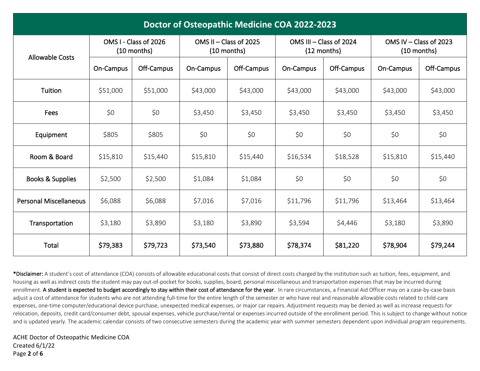| Doctor of Osteopathic Medicine COA 2022-2023 |                                        |            |                                         |            |                         |               |                                         |            |  |  |  |
|----------------------------------------------|----------------------------------------|------------|-----------------------------------------|------------|-------------------------|---------------|-----------------------------------------|------------|--|--|--|
| <b>Allowable Costs</b>                       | OMS I - Class of 2026<br>$(10$ months) |            | OMS II - Class of 2025<br>$(10$ months) |            | OMS III - Class of 2024 | $(12$ months) | OMS IV - Class of 2023<br>$(10$ months) |            |  |  |  |
|                                              | On-Campus                              | Off-Campus | On-Campus                               | Off-Campus | On-Campus               | Off-Campus    | On-Campus                               | Off-Campus |  |  |  |
| Tuition                                      | \$51,000                               | \$51,000   | \$43,000                                | \$43,000   | \$43,000                | \$43,000      | \$43,000                                | \$43,000   |  |  |  |
| Fees                                         | \$0                                    | \$0        | \$3,450                                 | \$3,450    | \$3,450                 | \$3,450       | \$3,450                                 | \$3,450    |  |  |  |
| Equipment                                    | \$805                                  | \$805      | \$0                                     | \$0        | \$0                     | \$0           | \$0                                     | \$0        |  |  |  |
| Room & Board                                 | \$15,810                               | \$15,440   | \$15,810                                | \$15,440   | \$16,534                | \$18,528      | \$15,810                                | \$15,440   |  |  |  |
| <b>Books &amp; Supplies</b>                  | \$2,500                                | \$2,500    | \$1,084                                 | \$1,084    | \$0                     | \$0           | \$0                                     | \$0        |  |  |  |
| <b>Personal Miscellaneous</b>                | \$6,088                                | \$6,088    | \$7,016                                 | \$7,016    | \$11,796                | \$11,796      | \$13,464                                | \$13,464   |  |  |  |
| Transportation                               | \$3,180                                | \$3,890    | \$3,180                                 | \$3,890    | \$3,594                 | \$4,446       | \$3,180                                 | \$3,890    |  |  |  |
| Total                                        | \$79,383                               | \$79,723   | \$73,540                                | \$73,880   | \$78,374                | \$81,220      | \$78,904                                | \$79,244   |  |  |  |

\*Disclaimer: A student's cost of attendance (COA) consists of allowable educational costs that consist of direct costs charged by the institution such as tuition, fees, equipment, and housing as well as indirect costs the student may pay out-of-pocket for books, supplies, board, personal miscellaneous and transportation expenses that may be incurred during enrollment. A student is expected to budget accordingly to stay within their cost of attendance for the year. In rare circumstances, a Financial Aid Officer may on a case-by-case basis adjust a cost of attendance for students who are not attending full-time for the entire length of the semester or who have real and reasonable allowable costs related to child-care expenses, one-time computer/educational device purchase, unexpected medical expenses, or major car repairs. Adjustment requests may be denied as well as increase requests for relocation, deposits, credit card/consumer debt, spousal expenses, vehicle purchase/rental or expenses incurred outside of the enrollment period. This is subject to change without notice and is updated yearly. The academic calendar consists of two consecutive semesters during the academic year with summer semesters dependent upon individual program requirements.

ACHE Doctor of Osteopathic Medicine COA Created 6/1/22 Page **2** of **6**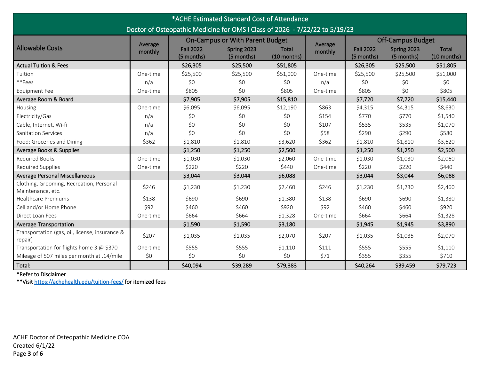| *ACHE Estimated Standard Cost of Attendance                                                                                                       |          |                  |                           |             |          |                  |                           |                             |  |
|---------------------------------------------------------------------------------------------------------------------------------------------------|----------|------------------|---------------------------|-------------|----------|------------------|---------------------------|-----------------------------|--|
| Doctor of Osteopathic Medicine for OMS I Class of 2026 - 7/22/22 to 5/19/23<br><b>On-Campus or With Parent Budget</b><br><b>Off-Campus Budget</b> |          |                  |                           |             |          |                  |                           |                             |  |
| <b>Allowable Costs</b>                                                                                                                            | Average  | <b>Fall 2022</b> |                           | Total       | Average  | <b>Fall 2022</b> |                           |                             |  |
|                                                                                                                                                   | monthly  | (5 months)       | Spring 2023<br>(5 months) | (10 months) | monthly  | (5 months)       | Spring 2023<br>(5 months) | <b>Total</b><br>(10 months) |  |
| <b>Actual Tuition &amp; Fees</b>                                                                                                                  |          | \$26,305         | \$25,500                  | \$51,805    |          | \$26,305         | \$25,500                  | \$51,805                    |  |
| Tuition                                                                                                                                           | One-time | \$25,500         | \$25,500                  | \$51,000    | One-time | \$25,500         | \$25,500                  | \$51,000                    |  |
| **Fees                                                                                                                                            | n/a      | \$0              | \$0                       | \$0         | n/a      | \$0              | \$0                       | \$0                         |  |
| Equipment Fee                                                                                                                                     | One-time | \$805            | \$0                       | \$805       | One-time | \$805            | \$0                       | \$805                       |  |
| Average Room & Board                                                                                                                              |          | \$7,905          | \$7,905                   | \$15,810    |          | \$7,720          | \$7,720                   | \$15,440                    |  |
| Housing                                                                                                                                           | One-time | \$6,095          | \$6,095                   | \$12,190    | \$863    | \$4,315          | \$4,315                   | \$8,630                     |  |
| Electricity/Gas                                                                                                                                   | n/a      | \$0              | \$0                       | \$0         | \$154    | \$770            | \$770                     | \$1,540                     |  |
| Cable, Internet, Wi-fi                                                                                                                            | n/a      | \$0              | \$0                       | \$0         | \$107    | \$535            | \$535                     | \$1,070                     |  |
| <b>Sanitation Services</b>                                                                                                                        | n/a      | \$0              | \$0\$                     | \$0         | \$58     | \$290            | \$290                     | \$580                       |  |
| Food: Groceries and Dining                                                                                                                        | \$362    | \$1,810          | \$1,810                   | \$3,620     | \$362    | \$1,810          | \$1,810                   | \$3,620                     |  |
| Average Books & Supplies                                                                                                                          |          | \$1,250          | \$1,250                   | \$2,500     |          | \$1,250          | \$1,250                   | \$2,500                     |  |
| <b>Required Books</b>                                                                                                                             | One-time | \$1,030          | \$1,030                   | \$2,060     | One-time | \$1,030          | \$1,030                   | \$2,060                     |  |
| Required Supplies                                                                                                                                 | One-time | \$220            | \$220                     | \$440       | One-time | \$220            | \$220                     | \$440                       |  |
| Average Personal Miscellaneous                                                                                                                    |          | \$3,044          | \$3,044                   | \$6,088     |          | \$3,044          | \$3,044                   | \$6,088                     |  |
| Clothing, Grooming, Recreation, Personal<br>Maintenance, etc.                                                                                     | \$246    | \$1,230          | \$1,230                   | \$2,460     | \$246    | \$1,230          | \$1,230                   | \$2,460                     |  |
| <b>Healthcare Premiums</b>                                                                                                                        | \$138    | \$690            | \$690                     | \$1,380     | \$138    | \$690            | \$690                     | \$1,380                     |  |
| Cell and/or Home Phone                                                                                                                            | \$92     | \$460            | \$460                     | \$920       | \$92     | \$460            | \$460                     | \$920                       |  |
| Direct Loan Fees                                                                                                                                  | One-time | \$664            | \$664                     | \$1,328     | One-time | \$664            | \$664                     | \$1,328                     |  |
| <b>Average Transportation</b>                                                                                                                     |          | \$1,590          | \$1,590                   | \$3,180     |          | \$1,945          | \$1,945                   | \$3,890                     |  |
| Transportation (gas, oil, license, insurance &<br>repair)                                                                                         | \$207    | \$1,035          | \$1,035                   | \$2,070     | \$207    | \$1,035          | \$1,035                   | \$2,070                     |  |
| Transportation for flights home 3 @ \$370                                                                                                         | One-time | \$555            | \$555                     | \$1,110     | \$111    | \$555            | \$555                     | \$1,110                     |  |
| Mileage of 507 miles per month at .14/mile                                                                                                        | \$0      | \$0              | \$0                       | \$0         | \$71     | \$355            | \$355                     | \$710                       |  |
| Total:                                                                                                                                            |          | \$40,094         | \$39,289                  | \$79,383    |          | \$40,264         | \$39,459                  | \$79,723                    |  |

\*\*Visi[t https://achehealth.edu/tuition-fees/ f](https://achehealth.edu/tuition-fees/)or itemized fees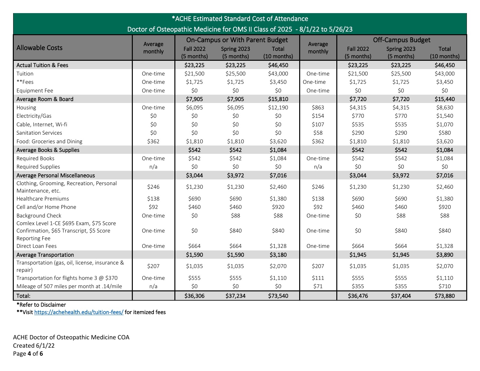| *ACHE Estimated Standard Cost of Attendance                                 |          |                                        |                           |                      |          |                                |                           |                             |  |
|-----------------------------------------------------------------------------|----------|----------------------------------------|---------------------------|----------------------|----------|--------------------------------|---------------------------|-----------------------------|--|
| Doctor of Osteopathic Medicine for OMS II Class of 2025 - 8/1/22 to 5/26/23 |          |                                        |                           |                      |          |                                |                           |                             |  |
|                                                                             | Average  | <b>On-Campus or With Parent Budget</b> |                           |                      | Average  | <b>Off-Campus Budget</b>       |                           |                             |  |
| <b>Allowable Costs</b>                                                      | monthly  | <b>Fall 2022</b><br>(5 months)         | Spring 2023<br>(5 months) | Total<br>(10 months) | monthly  | <b>Fall 2022</b><br>(5 months) | Spring 2023<br>(5 months) | <b>Total</b><br>(10 months) |  |
| <b>Actual Tuition &amp; Fees</b>                                            |          | \$23,225                               | \$23,225                  | \$46,450             |          | \$23,225                       | \$23,225                  | \$46,450                    |  |
| Tuition                                                                     | One-time | \$21,500                               | \$25,500                  | \$43,000             | One-time | \$21,500                       | \$25,500                  | \$43,000                    |  |
| **Fees                                                                      | One-time | \$1,725                                | \$1,725                   | \$3,450              | One-time | \$1,725                        | \$1,725                   | \$3,450                     |  |
| <b>Equipment Fee</b>                                                        | One-time | \$0                                    | \$0                       | \$0                  | One-time | \$0                            | \$0                       | \$0                         |  |
| Average Room & Board                                                        |          | \$7,905                                | \$7,905                   | \$15,810             |          | \$7,720                        | \$7,720                   | \$15,440                    |  |
| Housing                                                                     | One-time | \$6,095                                | \$6,095                   | \$12,190             | \$863    | \$4,315                        | \$4,315                   | \$8,630                     |  |
| Electricity/Gas                                                             | \$0      | \$0                                    | \$0                       | \$0                  | \$154    | \$770                          | \$770                     | \$1,540                     |  |
| Cable, Internet, Wi-fi                                                      | \$0      | \$0                                    | \$0                       | \$0                  | \$107    | \$535                          | \$535                     | \$1,070                     |  |
| <b>Sanitation Services</b>                                                  | \$0      | \$0                                    | \$0                       | \$0                  | \$58     | \$290                          | \$290                     | \$580                       |  |
| Food: Groceries and Dining                                                  | \$362    | \$1,810                                | \$1,810                   | \$3,620              | \$362    | \$1,810                        | \$1,810                   | \$3,620                     |  |
| Average Books & Supplies                                                    |          | \$542                                  | \$542                     | \$1,084              |          | \$542                          | \$542                     | \$1,084                     |  |
| Required Books                                                              | One-time | \$542                                  | \$542                     | \$1,084              | One-time | \$542                          | \$542                     | \$1,084                     |  |
| Required Supplies                                                           | n/a      | \$0                                    | \$0                       | \$0                  | n/a      | \$0                            | \$0                       | \$0                         |  |
| Average Personal Miscellaneous                                              |          | \$3,044                                | \$3,972                   | \$7,016              |          | \$3,044                        | \$3,972                   | \$7,016                     |  |
| Clothing, Grooming, Recreation, Personal<br>Maintenance, etc.               | \$246    | \$1,230                                | \$1,230                   | \$2,460              | \$246    | \$1,230                        | \$1,230                   | \$2,460                     |  |
| <b>Healthcare Premiums</b>                                                  | \$138    | \$690                                  | \$690                     | \$1,380              | \$138    | \$690                          | \$690                     | \$1,380                     |  |
| Cell and/or Home Phone                                                      | \$92     | \$460                                  | \$460                     | \$920                | \$92     | \$460                          | \$460                     | \$920                       |  |
| <b>Background Check</b>                                                     | One-time | \$0                                    | \$88                      | \$88                 | One-time | \$0                            | \$88                      | \$88                        |  |
| Comlex Level 1-CE \$695 Exam, \$75 Score                                    |          |                                        |                           |                      |          |                                |                           |                             |  |
| Confirmation, \$65 Transcript, \$5 Score                                    | One-time | \$0                                    | \$840                     | \$840                | One-time | \$0                            | \$840                     | \$840                       |  |
| Reporting Fee                                                               |          |                                        |                           |                      |          |                                |                           |                             |  |
| Direct Loan Fees                                                            | One-time | \$664                                  | \$664                     | \$1,328              | One-time | \$664                          | \$664                     | \$1,328                     |  |
| <b>Average Transportation</b>                                               |          | \$1,590                                | \$1,590                   | \$3,180              |          | \$1,945                        | \$1,945                   | \$3,890                     |  |
| Transportation (gas, oil, license, insurance &<br>repair)                   | \$207    | \$1,035                                | \$1,035                   | \$2,070              | \$207    | \$1,035                        | \$1,035                   | \$2,070                     |  |
| Transportation for flights home 3 @ \$370                                   | One-time | \$555                                  | \$555                     | \$1,110              | \$111    | \$555                          | \$555                     | \$1,110                     |  |
| Mileage of 507 miles per month at .14/mile                                  | n/a      | \$0                                    | \$0                       | \$0                  | \$71     | \$355                          | \$355                     | \$710                       |  |
| Total:                                                                      |          | \$36,306                               | \$37,234                  | \$73,540             |          | \$36,476                       | \$37,404                  | \$73,880                    |  |

\*\*Visi[t https://achehealth.edu/tuition-fees/ f](https://achehealth.edu/tuition-fees/)or itemized fees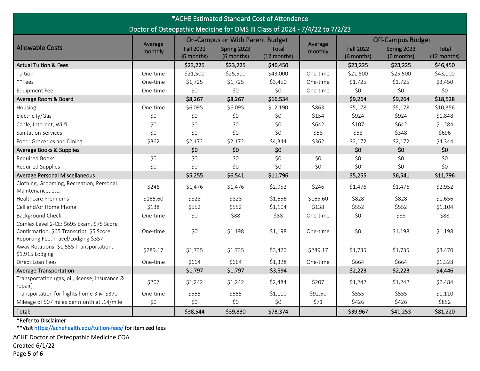| *ACHE Estimated Standard Cost of Attendance                                                                                  |          |                                        |                           |                      |          |                                |                           |                             |  |  |
|------------------------------------------------------------------------------------------------------------------------------|----------|----------------------------------------|---------------------------|----------------------|----------|--------------------------------|---------------------------|-----------------------------|--|--|
| Doctor of Osteopathic Medicine for OMS III Class of 2024 - 7/4/22 to 7/2/23                                                  |          |                                        |                           |                      |          |                                |                           |                             |  |  |
|                                                                                                                              | Average  | <b>On-Campus or With Parent Budget</b> |                           |                      | Average  | <b>Off-Campus Budget</b>       |                           |                             |  |  |
| <b>Allowable Costs</b>                                                                                                       | monthly  | <b>Fall 2022</b><br>(6 months)         | Spring 2023<br>(6 months) | Total<br>(12 months) | monthly  | <b>Fall 2022</b><br>(6 months) | Spring 2023<br>(6 months) | <b>Total</b><br>(12 months) |  |  |
| <b>Actual Tuition &amp; Fees</b>                                                                                             |          | \$23,225                               | \$23,225                  | \$46,450             |          | \$23,225                       | \$23,225                  | \$46,450                    |  |  |
| Tuition                                                                                                                      | One-time | \$21,500                               | \$25,500                  | \$43,000             | One-time | \$21,500                       | \$25,500                  | \$43,000                    |  |  |
| **Fees                                                                                                                       | One-time | \$1,725                                | \$1,725                   | \$3,450              | One-time | \$1,725                        | \$1,725                   | \$3,450                     |  |  |
| <b>Equipment Fee</b>                                                                                                         | One-time | \$0                                    | \$0                       | \$0                  | One-time | \$0                            | \$0                       | \$0                         |  |  |
| Average Room & Board                                                                                                         |          | \$8,267                                | \$8,267                   | \$16,534             |          | \$9,264                        | \$9,264                   | \$18,528                    |  |  |
| Housing                                                                                                                      | One-time | \$6,095                                | \$6,095                   | \$12,190             | \$863    | \$5,178                        | \$5,178                   | \$10,356                    |  |  |
| Electricity/Gas                                                                                                              | \$0      | \$0                                    | \$0                       | \$0                  | \$154    | \$924                          | \$924                     | \$1,848                     |  |  |
| Cable, Internet, Wi-fi                                                                                                       | \$0      | \$0                                    | \$0                       | \$0                  | \$642    | \$107                          | \$642                     | \$1,284                     |  |  |
| <b>Sanitation Services</b>                                                                                                   | \$0      | \$0                                    | \$0                       | \$0                  | \$58     | \$58                           | \$348                     | \$696                       |  |  |
| Food: Groceries and Dining                                                                                                   | \$362    | \$2,172                                | \$2,172                   | \$4,344              | \$362    | \$2,172                        | \$2,172                   | \$4,344                     |  |  |
| Average Books & Supplies                                                                                                     |          | \$0                                    | \$0                       | \$0                  |          | \$0                            | \$0                       | \$0                         |  |  |
| <b>Required Books</b>                                                                                                        | \$0      | \$0                                    | \$0                       | \$0                  | \$0      | \$0                            | \$0                       | \$0\$                       |  |  |
| Required Supplies                                                                                                            | \$0      | \$0                                    | \$0                       | \$0                  | \$0      | \$0                            | \$0                       | \$0                         |  |  |
| <b>Average Personal Miscellaneous</b>                                                                                        |          | \$5,255                                | \$6,541                   | \$11,796             |          | \$5,255                        | \$6,541                   | \$11,796                    |  |  |
| Clothing, Grooming, Recreation, Personal<br>Maintenance, etc.                                                                | \$246    | \$1,476                                | \$1,476                   | \$2,952              | \$246    | \$1,476                        | \$1,476                   | \$2,952                     |  |  |
| <b>Healthcare Premiums</b>                                                                                                   | \$165.60 | \$828                                  | \$828                     | \$1,656              | \$165.60 | \$828                          | \$828                     | \$1,656                     |  |  |
| Cell and/or Home Phone                                                                                                       | \$138    | \$552                                  | \$552                     | \$1,104              | \$138    | \$552                          | \$552                     | \$1,104                     |  |  |
| <b>Background Check</b>                                                                                                      | One-time | \$0                                    | \$88                      | \$88                 | One-time | \$0                            | \$88                      | \$88                        |  |  |
| Comlex Level 2-CE: \$695 Exam, \$75 Score<br>Confirmation, \$65 Transcript, \$5 Score<br>Reporting Fee, Travel/Lodging \$357 | One-time | \$0                                    | \$1,198                   | \$1,198              | One-time | \$0                            | \$1,198                   | \$1,198                     |  |  |
| Away Rotations: \$1,555 Transportation,<br>\$1,915 Lodging                                                                   | \$289.17 | \$1,735                                | \$1,735                   | \$3,470              | \$289.17 | \$1,735                        | \$1,735                   | \$3,470                     |  |  |
| Direct Loan Fees                                                                                                             | One-time | \$664                                  | \$664                     | \$1,328              | One-time | \$664                          | \$664                     | \$1,328                     |  |  |
| <b>Average Transportation</b>                                                                                                |          | \$1,797                                | \$1,797                   | \$3,594              |          | \$2,223                        | \$2,223                   | \$4,446                     |  |  |
| Transportation (gas, oil, license, insurance &<br>repair)                                                                    | \$207    | \$1,242                                | \$1,242                   | \$2,484              | \$207    | \$1,242                        | \$1,242                   | \$2,484                     |  |  |
| Transportation for flights home 3 @ \$370                                                                                    | One-time | \$555                                  | \$555                     | \$1,110              | \$92.50  | \$555                          | \$555                     | \$1,110                     |  |  |
| Mileage of 507 miles per month at .14/mile                                                                                   | \$0      | \$0                                    | \$0                       | \$0                  | \$71     | \$426                          | \$426                     | \$852                       |  |  |
| Total:                                                                                                                       |          | \$38,544                               | \$39,830                  | \$78,374             |          | \$39,967                       | \$41,253                  | \$81,220                    |  |  |

\*\*Visi[t https://achehealth.edu/tuition-fees/ f](https://achehealth.edu/tuition-fees/)or itemized fees

ACHE Doctor of Osteopathic Medicine COA Created 6/1/22 Page **5** of **6**